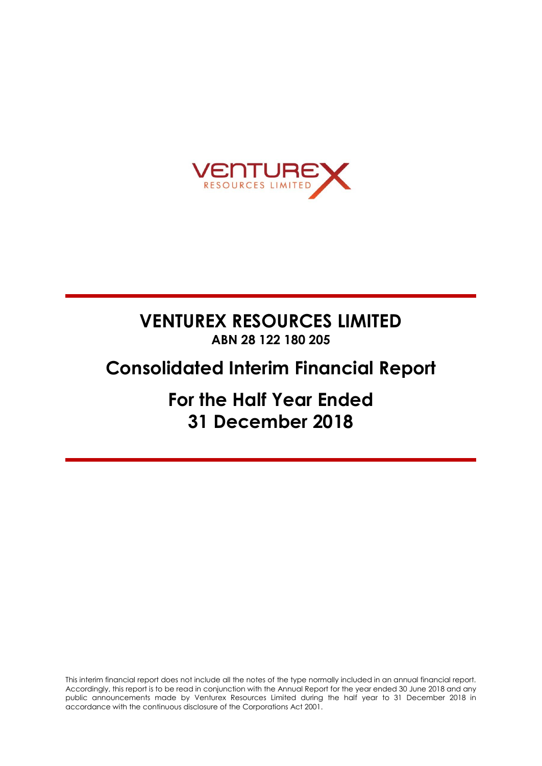

# **VENTUREX RESOURCES LIMITED ABN 28 122 180 205**

# **Consolidated Interim Financial Report**

**For the Half Year Ended 31 December 2018**

This interim financial report does not include all the notes of the type normally included in an annual financial report. Accordingly, this report is to be read in conjunction with the Annual Report for the year ended 30 June 2018 and any public announcements made by Venturex Resources Limited during the half year to 31 December 2018 in accordance with the continuous disclosure of the Corporations Act 2001.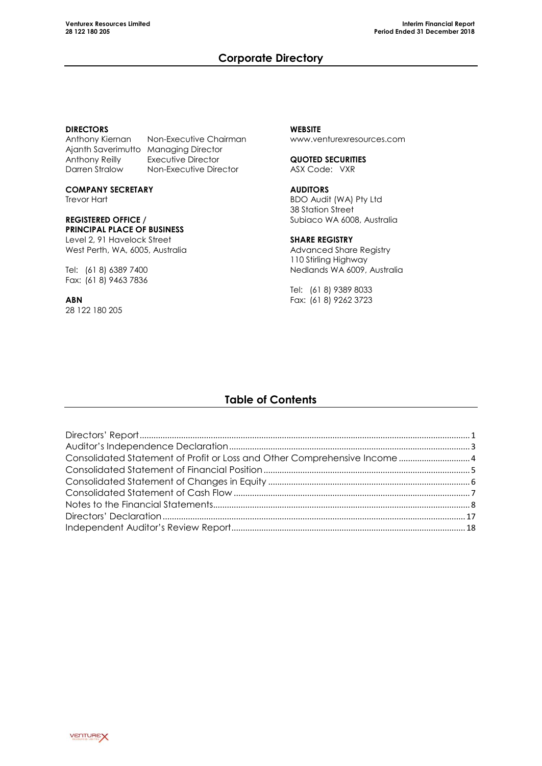# **Corporate Directory**

### **DIRECTORS**

Anthony Kiernan Non-Executive Chairman Ajanth Saverimutto Managing Director Anthony Reilly Executive Director<br>Darren Stralow Non-Executive Dire

Non-Executive Director **COMPANY SECRETARY**

Trevor Hart

# **REGISTERED OFFICE / PRINCIPAL PLACE OF BUSINESS**

Level 2, 91 Havelock Street West Perth, WA, 6005, Australia

Tel: (61 8) 6389 7400 Fax: (61 8) 9463 7836

**ABN** 28 122 180 205

**WEBSITE** [www.venturexresources.com](http://www.venturexresources.com/)

**QUOTED SECURITIES** ASX Code: VXR

**AUDITORS** BDO Audit (WA) Pty Ltd 38 Station Street Subiaco WA 6008, Australia

### **SHARE REGISTRY**

Advanced Share Registry 110 Stirling Highway Nedlands WA 6009, Australia

Tel: (61 8) 9389 8033 Fax: (61 8) 9262 3723

# **Table of Contents**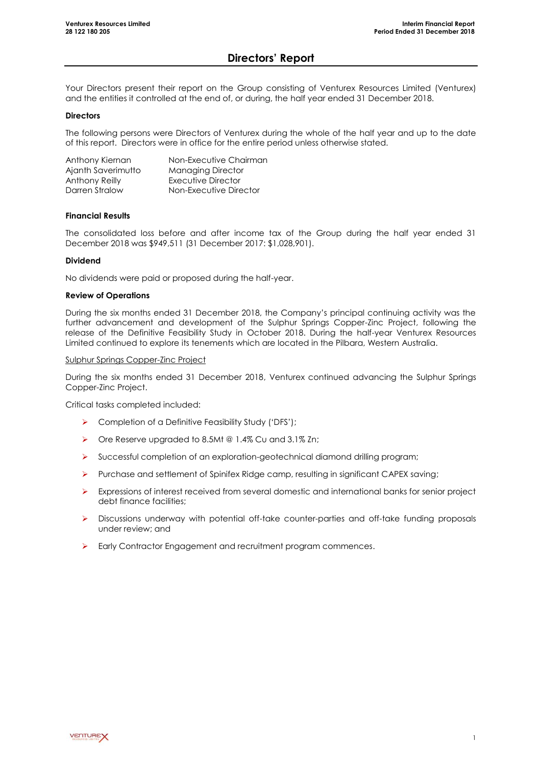# **Directors' Report**

Your Directors present their report on the Group consisting of Venturex Resources Limited (Venturex) and the entities it controlled at the end of, or during, the half year ended 31 December 2018.

### **Directors**

The following persons were Directors of Venturex during the whole of the half year and up to the date of this report. Directors were in office for the entire period unless otherwise stated.

| Anthony Kiernan    | Non-Executive Chairman   |
|--------------------|--------------------------|
| Ajanth Saverimutto | <b>Managing Director</b> |
| Anthony Reilly     | Executive Director       |
| Darren Stralow     | Non-Executive Director   |

### **Financial Results**

The consolidated loss before and after income tax of the Group during the half year ended 31 December 2018 was \$949,511 (31 December 2017: \$1,028,901).

### **Dividend**

No dividends were paid or proposed during the half-year.

### **Review of Operations**

During the six months ended 31 December 2018, the Company's principal continuing activity was the further advancement and development of the Sulphur Springs Copper-Zinc Project, following the release of the Definitive Feasibility Study in October 2018. During the half-year Venturex Resources Limited continued to explore its tenements which are located in the Pilbara, Western Australia.

#### Sulphur Springs Copper-Zinc Project

During the six months ended 31 December 2018, Venturex continued advancing the Sulphur Springs Copper-Zinc Project.

Critical tasks completed included:

- ▶ Completion of a Definitive Feasibility Study ('DFS');
- ▶ Ore Reserve upgraded to 8.5Mt @ 1.4% Cu and 3.1% Zn;
- Successful completion of an exploration-geotechnical diamond drilling program;
- $\triangleright$  Purchase and settlement of Spinifex Ridge camp, resulting in significant CAPEX saving;
- $\triangleright$  Expressions of interest received from several domestic and international banks for senior project debt finance facilities;
- Discussions underway with potential off-take counter-parties and off-take funding proposals under review; and
- Early Contractor Engagement and recruitment program commences.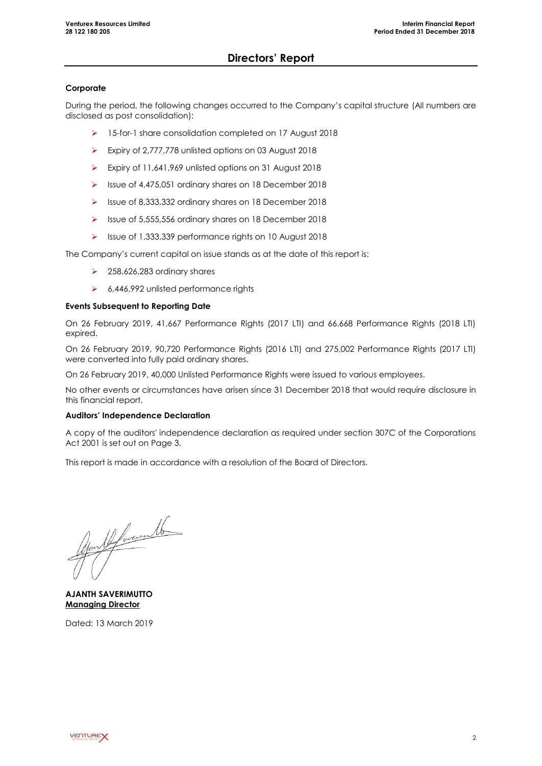# **Directors' Report**

### **Corporate**

During the period, the following changes occurred to the Company's capital structure (All numbers are disclosed as post consolidation):

- 15-for-1 share consolidation completed on 17 August 2018
- Expiry of 2,777,778 unlisted options on 03 August 2018
- Expiry of 11,641,969 unlisted options on 31 August 2018
- Issue of 4,475,051 ordinary shares on 18 December 2018
- Issue of 8,333,332 ordinary shares on 18 December 2018
- $\triangleright$  Issue of 5,555,556 ordinary shares on 18 December 2018
- Issue of 1,333,339 performance rights on 10 August 2018

The Company's current capital on issue stands as at the date of this report is:

- $\geq$  258,626,283 ordinary shares
- $6,446,992$  unlisted performance rights

### **Events Subsequent to Reporting Date**

On 26 February 2019, 41,667 Performance Rights (2017 LTI) and 66,668 Performance Rights (2018 LTI) expired.

On 26 February 2019, 90,720 Performance Rights (2016 LTI) and 275,002 Performance Rights (2017 LTI) were converted into fully paid ordinary shares.

On 26 February 2019, 40,000 Unlisted Performance Rights were issued to various employees.

No other events or circumstances have arisen since 31 December 2018 that would require disclosure in this financial report.

### **Auditors' Independence Declaration**

A copy of the auditors' independence declaration as required under section 307C of the Corporations Act 2001 is set out on Page 3.

This report is made in accordance with a resolution of the Board of Directors.

Non 14 hours 16

**AJANTH SAVERIMUTTO Managing Director**

Dated: 13 March 2019

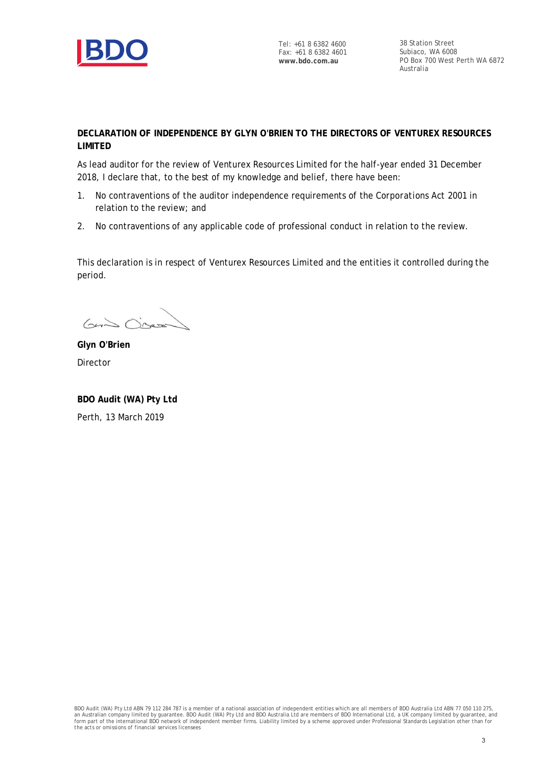

Tel: +61 8 6382 4600 Fax: +61 8 6382 4601 **www.bdo.com.au**

38 Station Street Subiaco, WA 6008 PO Box 700 West Perth WA 6872 Australia

# **DECLARATION OF INDEPENDENCE BY GLYN O'BRIEN TO THE DIRECTORS OF VENTUREX RESOURCES LIMITED**

As lead auditor for the review of Venturex Resources Limited for the half-year ended 31 December 2018, I declare that, to the best of my knowledge and belief, there have been:

- 1. No contraventions of the auditor independence requirements of the *Corporations Act 2001* in relation to the review; and
- 2. No contraventions of any applicable code of professional conduct in relation to the review.

This declaration is in respect of Venturex Resources Limited and the entities it controlled during the period.

 $640$  Observ

**Glyn O'Brien** Director

**BDO Audit (WA) Pty Ltd** Perth, 13 March 2019

BDO Audit (WA) Pty Ltd ABN 79 112 284 787 is a member of a national association of independent entities which are all members of BDO Australia Ltd ABN 77 050 110 275,<br>an Australian company limited by guarantee. BDO Audit ( *the acts or omissions of financial services licensees*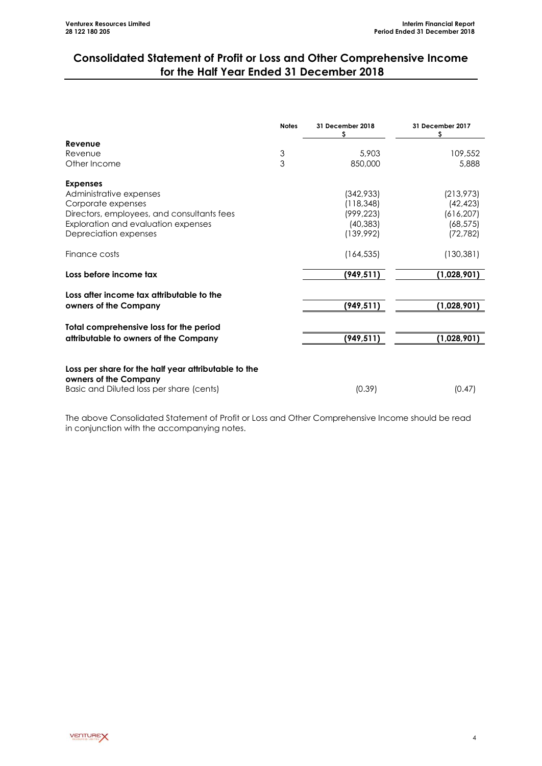# **Consolidated Statement of Profit or Loss and Other Comprehensive Income for the Half Year Ended 31 December 2018**

|                                                      | <b>Notes</b>  | 31 December 2018 | 31 December 2017 |
|------------------------------------------------------|---------------|------------------|------------------|
| Revenue                                              |               |                  |                  |
| Revenue                                              |               | 5,903            | 109,552          |
| Other Income                                         | $\frac{3}{3}$ | 850,000          | 5,888            |
| <b>Expenses</b>                                      |               |                  |                  |
| Administrative expenses                              |               | (342,933)        | (213, 973)       |
| Corporate expenses                                   |               | (118, 348)       | (42, 423)        |
| Directors, employees, and consultants fees           |               | (999, 223)       | (616, 207)       |
| Exploration and evaluation expenses                  |               | (40, 383)        | (68, 575)        |
| Depreciation expenses                                |               | (139, 992)       | (72, 782)        |
| Finance costs                                        |               | (164, 535)       | (130, 381)       |
| Loss before income tax                               |               | (949, 511)       | (1,028,901)      |
| Loss after income tax attributable to the            |               |                  |                  |
| owners of the Company                                |               | (949, 511)       | (1,028,901)      |
| Total comprehensive loss for the period              |               |                  |                  |
| attributable to owners of the Company                |               | (949, 511)       | (1,028,901)      |
|                                                      |               |                  |                  |
| Loss per share for the half year attributable to the |               |                  |                  |
| owners of the Company                                |               |                  |                  |
| Basic and Diluted loss per share (cents)             |               | (0.39)           | (0.47)           |

The above Consolidated Statement of Profit or Loss and Other Comprehensive Income should be read in conjunction with the accompanying notes.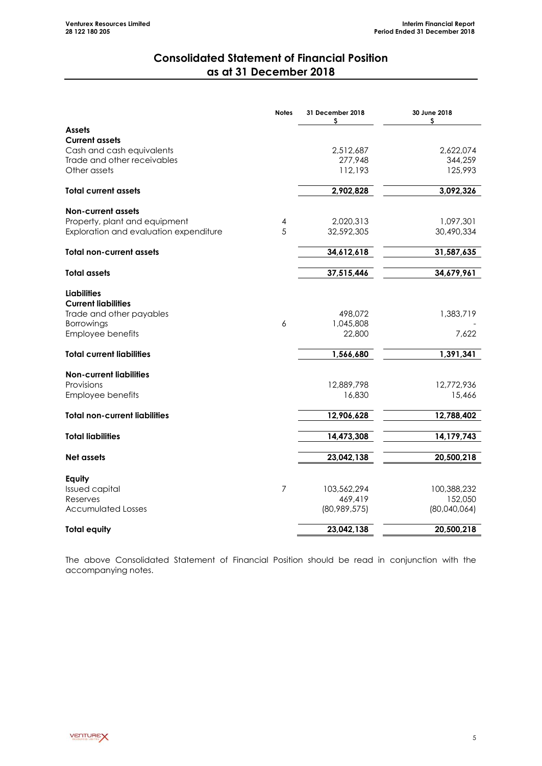# **Consolidated Statement of Financial Position as at 31 December 2018**

<span id="page-6-0"></span>

|                                             | <b>Notes</b>   | 31 December 2018<br>\$ | 30 June 2018<br>\$ |
|---------------------------------------------|----------------|------------------------|--------------------|
| <b>Assets</b>                               |                |                        |                    |
| <b>Current assets</b>                       |                |                        |                    |
| Cash and cash equivalents                   |                | 2,512,687              | 2,622,074          |
| Trade and other receivables<br>Other assets |                | 277,948<br>112,193     | 344,259<br>125,993 |
|                                             |                |                        |                    |
| <b>Total current assets</b>                 |                | 2,902,828              | 3,092,326          |
| Non-current assets                          |                |                        |                    |
| Property, plant and equipment               | 4              | 2,020,313              | 1,097,301          |
| Exploration and evaluation expenditure      | 5              | 32,592,305             | 30,490,334         |
| <b>Total non-current assets</b>             |                | 34,612,618             | 31,587,635         |
| <b>Total assets</b>                         |                | 37,515,446             | 34,679,961         |
| <b>Liabilities</b>                          |                |                        |                    |
| <b>Current liabilities</b>                  |                |                        |                    |
| Trade and other payables                    |                | 498,072                | 1,383,719          |
| Borrowings                                  | 6              | 1,045,808              |                    |
| Employee benefits                           |                | 22,800                 | 7,622              |
| <b>Total current liabilities</b>            |                | 1,566,680              | 1,391,341          |
| <b>Non-current liabilities</b>              |                |                        |                    |
| Provisions                                  |                | 12,889,798             | 12,772,936         |
| Employee benefits                           |                | 16,830                 | 15,466             |
| <b>Total non-current liabilities</b>        |                | 12,906,628             | 12,788,402         |
| <b>Total liabilities</b>                    |                | 14,473,308             | 14,179,743         |
|                                             |                |                        |                    |
| Net assets                                  |                | 23,042,138             | 20,500,218         |
| Equity                                      |                |                        |                    |
| <b>Issued capital</b>                       | $\overline{7}$ | 103,562,294            | 100,388,232        |
| Reserves                                    |                | 469,419                | 152,050            |
| <b>Accumulated Losses</b>                   |                | (80,989,575)           | (80,040,064)       |
| <b>Total equity</b>                         |                | 23,042,138             | 20,500,218         |

The above Consolidated Statement of Financial Position should be read in conjunction with the accompanying notes.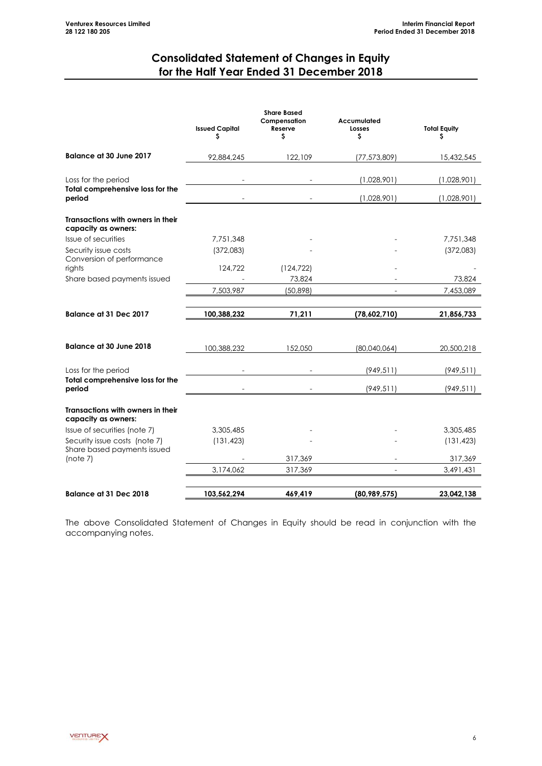# **Consolidated Statement of Changes in Equity for the Half Year Ended 31 December 2018**

<span id="page-7-0"></span>

|                                                                   | <b>Issued Capital</b><br>S | <b>Share Based</b><br>Compensation<br>Reserve<br>s | Accumulated<br>Losses<br>\$ | <b>Total Equity</b><br>\$  |
|-------------------------------------------------------------------|----------------------------|----------------------------------------------------|-----------------------------|----------------------------|
| <b>Balance at 30 June 2017</b>                                    | 92,884,245                 | 122,109                                            | (77, 573, 809)              | 15,432,545                 |
| Loss for the period<br>Total comprehensive loss for the<br>period |                            |                                                    | (1,028,901)<br>(1,028,901)  | (1,028,901)<br>(1,028,901) |
| Transactions with owners in their<br>capacity as owners:          |                            |                                                    |                             |                            |
| Issue of securities                                               | 7,751,348                  |                                                    |                             | 7,751,348                  |
| Security issue costs<br>Conversion of performance                 | (372,083)                  |                                                    |                             | (372,083)                  |
| rights                                                            | 124,722                    | (124, 722)                                         |                             |                            |
| Share based payments issued                                       | 7,503,987                  | 73,824<br>(50, 898)                                |                             | 73,824<br>7,453,089        |
|                                                                   |                            |                                                    |                             |                            |
| Balance at 31 Dec 2017                                            | 100,388,232                | 71,211                                             | (78,602,710)                | 21,856,733                 |
| <b>Balance at 30 June 2018</b>                                    | 100,388,232                | 152,050                                            | (80,040,064)                | 20,500,218                 |
| Loss for the period                                               |                            |                                                    | (949, 511)                  | (949, 511)                 |
| Total comprehensive loss for the<br>period                        |                            |                                                    | (949, 511)                  | (949, 511)                 |
| Transactions with owners in their<br>capacity as owners:          |                            |                                                    |                             |                            |
| Issue of securities (note 7)                                      | 3,305,485                  |                                                    |                             | 3,305,485                  |
| Security issue costs (note 7)<br>Share based payments issued      | (131, 423)                 |                                                    |                             | (131, 423)                 |
| (note 7)                                                          |                            | 317,369                                            |                             | 317,369                    |
|                                                                   | 3,174,062                  | 317,369                                            |                             | 3,491,431                  |
| Balance at 31 Dec 2018                                            | 103,562,294                | 469,419                                            | (80, 989, 575)              | 23,042,138                 |

The above Consolidated Statement of Changes in Equity should be read in conjunction with the accompanying notes.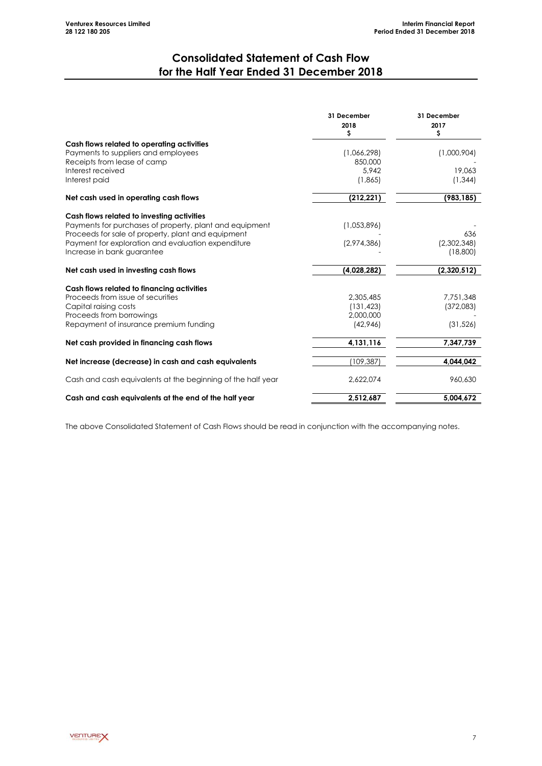# **Consolidated Statement of Cash Flow for the Half Year Ended 31 December 2018**

<span id="page-8-0"></span>

|                                                             | 31 December<br>2018<br>\$ | 31 December<br>2017<br>\$ |
|-------------------------------------------------------------|---------------------------|---------------------------|
| Cash flows related to operating activities                  |                           |                           |
| Payments to suppliers and employees                         | (1,066,298)               | (1,000,904)               |
| Receipts from lease of camp                                 | 850,000                   |                           |
| Interest received<br>Interest paid                          | 5.942<br>(1,865)          | 19,063<br>(1, 344)        |
|                                                             |                           |                           |
| Net cash used in operating cash flows                       | (212, 221)                | (983, 185)                |
| Cash flows related to investing activities                  |                           |                           |
| Payments for purchases of property, plant and equipment     | (1,053,896)               |                           |
| Proceeds for sale of property, plant and equipment          |                           | 636                       |
| Payment for exploration and evaluation expenditure          | (2,974,386)               | (2,302,348)               |
| Increase in bank guarantee                                  |                           | (18,800)                  |
| Net cash used in investing cash flows                       | (4,028,282)               | (2,320,512)               |
| Cash flows related to financing activities                  |                           |                           |
| Proceeds from issue of securities                           | 2,305,485                 | 7,751,348                 |
| Capital raising costs                                       | (131, 423)                | (372,083)                 |
| Proceeds from borrowings                                    | 2,000,000                 |                           |
| Repayment of insurance premium funding                      | (42,946)                  | (31, 526)                 |
| Net cash provided in financing cash flows                   | 4,131,116                 | 7,347,739                 |
| Net increase (decrease) in cash and cash equivalents        | (109,387)                 | 4.044.042                 |
| Cash and cash equivalents at the beginning of the half year | 2,622,074                 | 960,630                   |
| Cash and cash equivalents at the end of the half year       | 2,512,687                 | 5,004,672                 |

The above Consolidated Statement of Cash Flows should be read in conjunction with the accompanying notes.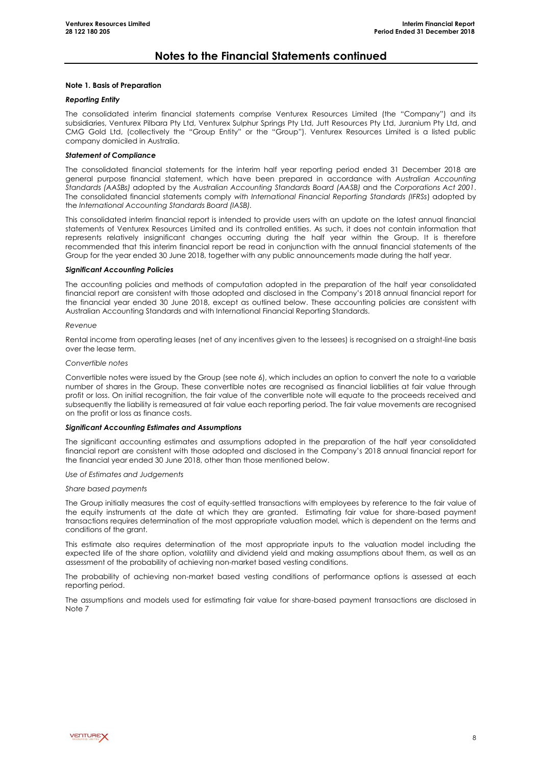#### **Note 1. Basis of Preparation**

#### *Reporting Entity*

The consolidated interim financial statements comprise Venturex Resources Limited (the "Company") and its subsidiaries, Venturex Pilbara Pty Ltd, Venturex Sulphur Springs Pty Ltd, Jutt Resources Pty Ltd, Juranium Pty Ltd, and CMG Gold Ltd, (collectively the "Group Entity" or the "Group"). Venturex Resources Limited is a listed public company domiciled in Australia.

#### *Statement of Compliance*

The consolidated financial statements for the interim half year reporting period ended 31 December 2018 are general purpose financial statement, which have been prepared in accordance with *Australian Accounting Standards (AASBs)* adopted by the *Australian Accounting Standards Board (AASB)* and the *Corporations Act 2001*. The consolidated financial statements comply *with International Financial Reporting Standards (IFRSs*) adopted by the *International Accounting Standards Board (IASB).*

This consolidated interim financial report is intended to provide users with an update on the latest annual financial statements of Venturex Resources Limited and its controlled entities. As such, it does not contain information that represents relatively insignificant changes occurring during the half year within the Group. It is therefore recommended that this interim financial report be read in conjunction with the annual financial statements of the Group for the year ended 30 June 2018, together with any public announcements made during the half year.

#### *Significant Accounting Policies*

The accounting policies and methods of computation adopted in the preparation of the half year consolidated financial report are consistent with those adopted and disclosed in the Company's 2018 annual financial report for the financial year ended 30 June 2018, except as outlined below. These accounting policies are consistent with Australian Accounting Standards and with International Financial Reporting Standards.

#### *Revenue*

Rental income from operating leases (net of any incentives given to the lessees) is recognised on a straight-line basis over the lease term.

#### *Convertible notes*

Convertible notes were issued by the Group (see note 6), which includes an option to convert the note to a variable number of shares in the Group. These convertible notes are recognised as financial liabilities at fair value through profit or loss. On initial recognition, the fair value of the convertible note will equate to the proceeds received and subsequently the liability is remeasured at fair value each reporting period. The fair value movements are recognised on the profit or loss as finance costs.

#### *Significant Accounting Estimates and Assumptions*

The significant accounting estimates and assumptions adopted in the preparation of the half year consolidated financial report are consistent with those adopted and disclosed in the Company's 2018 annual financial report for the financial year ended 30 June 2018, other than those mentioned below.

*Use of Estimates and Judgements*

#### *Share based payments*

The Group initially measures the cost of equity-settled transactions with employees by reference to the fair value of the equity instruments at the date at which they are granted. Estimating fair value for share-based payment transactions requires determination of the most appropriate valuation model, which is dependent on the terms and conditions of the grant.

This estimate also requires determination of the most appropriate inputs to the valuation model including the expected life of the share option, volatility and dividend yield and making assumptions about them, as well as an assessment of the probability of achieving non-market based vesting conditions.

The probability of achieving non-market based vesting conditions of performance options is assessed at each reporting period.

The assumptions and models used for estimating fair value for share-based payment transactions are disclosed in Note 7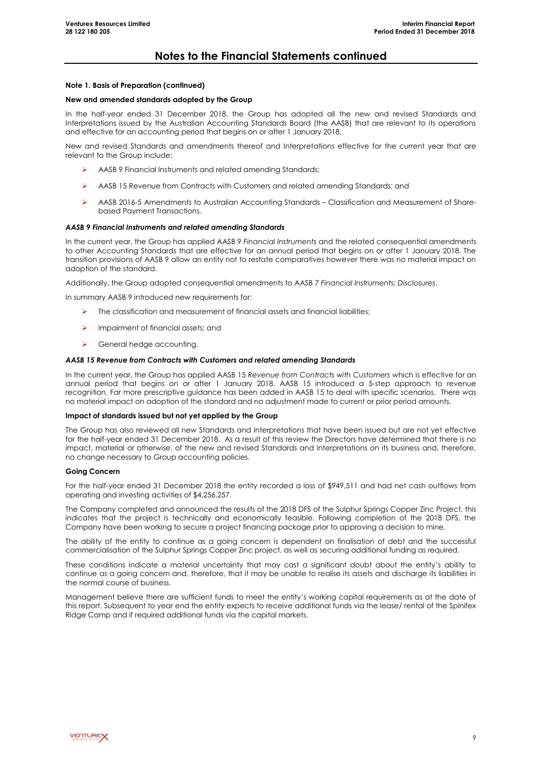#### **Note 1. Basis of Preparation (continued)**

#### **New and amended standards adopted by the Group**

In the half-year ended 31 December 2018, the Group has adopted all the new and revised Standards and Interpretations issued by the Australian Accounting Standards Board (the AASB) that are relevant to its operations and effective for an accounting period that begins on or after 1 January 2018.

New and revised Standards and amendments thereof and Interpretations effective for the current year that are relevant to the Group include:

- AASB 9 Financial Instruments and related amending Standards;
- AASB 15 Revenue from Contracts with Customers and related amending Standards; and
- AASB 2016-5 Amendments to Australian Accounting Standards Classification and Measurement of Sharebased Payment Transactions.

#### *AASB 9 Financial Instruments and related amending Standards*

In the current year, the Group has applied AASB 9 *Financial Instruments* and the related consequential amendments to other Accounting Standards that are effective for an annual period that begins on or after 1 January 2018. The transition provisions of AASB 9 allow an entity not to restate comparatives however there was no material impact on adoption of the standard.

Additionally, the Group adopted consequential amendments to AASB 7 *Financial Instruments: Disclosures*.

In summary AASB 9 introduced new requirements for:

- $\triangleright$  The classification and measurement of financial assets and financial liabilities;
- $\triangleright$  Impairment of financial assets; and
- General hedge accounting.

#### *AASB 15 Revenue from Contracts with Customers and related amending Standards*

In the current year, the Group has applied AASB 15 *Revenue from Contracts with Customers* which is effective for an annual period that begins on or after 1 January 2018. AASB 15 introduced a 5-step approach to revenue recognition. Far more prescriptive guidance has been added in AASB 15 to deal with specific scenarios. There was no material impact on adoption of the standard and no adjustment made to current or prior period amounts.

#### **Impact of standards issued but not yet applied by the Group**

The Group has also reviewed all new Standards and Interpretations that have been issued but are not yet effective for the half-year ended 31 December 2018. As a result of this review the Directors have determined that there is no impact, material or otherwise, of the new and revised Standards and Interpretations on its business and, therefore, no change necessary to Group accounting policies.

#### **Going Concern**

For the half-year ended 31 December 2018 the entity recorded a loss of \$949,511 and had net cash outflows from operating and investing activities of \$4,256,257.

The Company completed and announced the results of the 2018 DFS of the Sulphur Springs Copper Zinc Project, this indicates that the project is technically and economically feasible. Following completion of the 2018 DFS, the Company have been working to secure a project financing package prior to approving a decision to mine.

The ability of the entity to continue as a going concern is dependent on finalisation of debt and the successful commercialisation of the Sulphur Springs Copper Zinc project, as well as securing additional funding as required.

These conditions indicate a material uncertainty that may cast a significant doubt about the entity's ability to continue as a going concern and, therefore, that it may be unable to realise its assets and discharge its liabilities in the normal course of business.

Management believe there are sufficient funds to meet the entity's working capital requirements as at the date of this report. Subsequent to year end the entity expects to receive additional funds via the lease/ rental of the Spinifex Ridge Camp and if required additional funds via the capital markets.

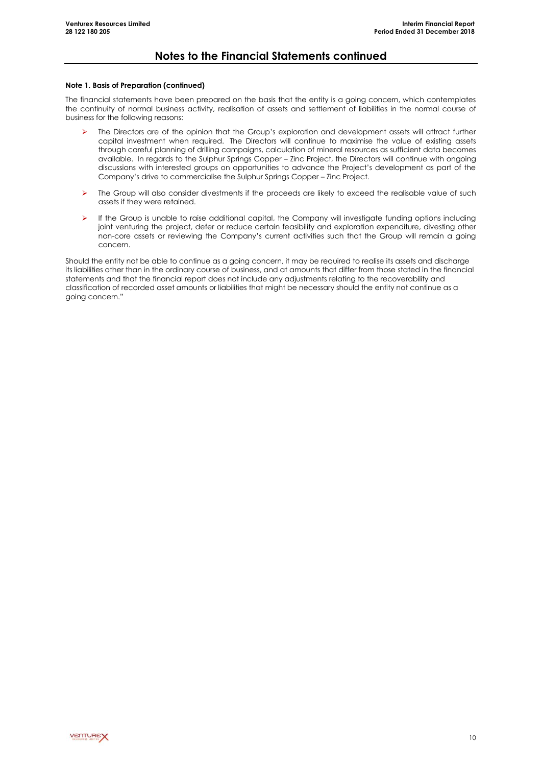#### **Note 1. Basis of Preparation (continued)**

The financial statements have been prepared on the basis that the entity is a going concern, which contemplates the continuity of normal business activity, realisation of assets and settlement of liabilities in the normal course of business for the following reasons:

- The Directors are of the opinion that the Group's exploration and development assets will attract further capital investment when required. The Directors will continue to maximise the value of existing assets through careful planning of drilling campaigns, calculation of mineral resources as sufficient data becomes available. In regards to the Sulphur Springs Copper – Zinc Project, the Directors will continue with ongoing discussions with interested groups on opportunities to advance the Project's development as part of the Company's drive to commercialise the Sulphur Springs Copper – Zinc Project.
- The Group will also consider divestments if the proceeds are likely to exceed the realisable value of such assets if they were retained.
- $\triangleright$  If the Group is unable to raise additional capital, the Company will investigate funding options including joint venturing the project, defer or reduce certain feasibility and exploration expenditure, divesting other non-core assets or reviewing the Company's current activities such that the Group will remain a going concern.

Should the entity not be able to continue as a going concern, it may be required to realise its assets and discharge its liabilities other than in the ordinary course of business, and at amounts that differ from those stated in the financial statements and that the financial report does not include any adjustments relating to the recoverability and classification of recorded asset amounts or liabilities that might be necessary should the entity not continue as a going concern."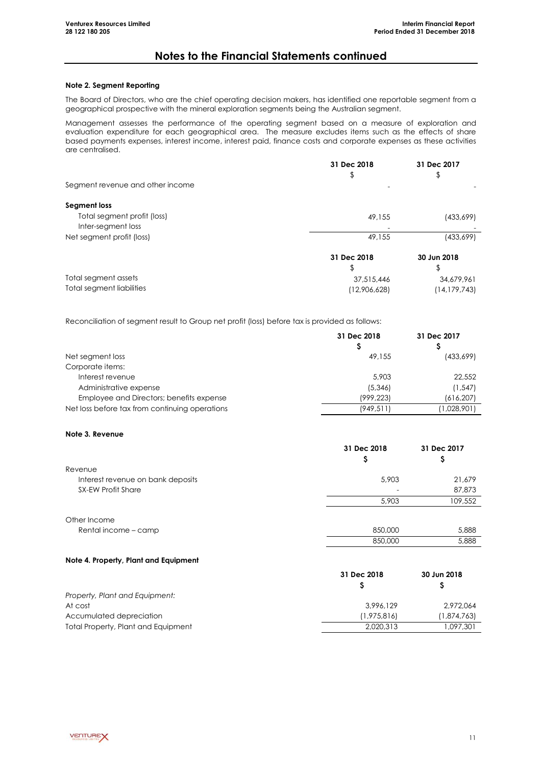### **Note 2. Segment Reporting**

The Board of Directors, who are the chief operating decision makers, has identified one reportable segment from a geographical prospective with the mineral exploration segments being the Australian segment.

Management assesses the performance of the operating segment based on a measure of exploration and evaluation expenditure for each geographical area. The measure excludes items such as the effects of share based payments expenses, interest income, interest paid, finance costs and corporate expenses as these activities are centralised.

|                                  | 31 Dec 2018<br>\$ | 31 Dec 2017 |
|----------------------------------|-------------------|-------------|
| Segment revenue and other income | -                 |             |
| Segment loss                     |                   |             |
| Total segment profit (loss)      | 49,155            | (433,699)   |
| Inter-segment loss               |                   |             |
| Net segment profit (loss)        | 49,155            | (433,699)   |
|                                  | 31 Dec 2018       | 30 Jun 2018 |
|                                  | \$                |             |
| Total segment assets             | 37,515,446        | 34,679,961  |

Total segment liabilities (12,906,628) (14,179,743)

Reconciliation of segment result to Group net profit (loss) before tax is provided as follows:

|                                                | 31 Dec 2018 | 31 Dec 2017 |
|------------------------------------------------|-------------|-------------|
|                                                |             |             |
| Net segment loss                               | 49,155      | (433,699)   |
| Corporate items:                               |             |             |
| Interest revenue                               | 5,903       | 22,552      |
| Administrative expense                         | (5,346)     | (1, 547)    |
| Employee and Directors; benefits expense       | (999, 223)  | (616, 207)  |
| Net loss before tax from continuing operations | (949, 511)  | (1,028,901) |

#### **Note 3. Revenue**

|                                   | 31 Dec 2018<br>Ş | 31 Dec 2017<br>₽ |
|-----------------------------------|------------------|------------------|
| Revenue                           |                  |                  |
| Interest revenue on bank deposits | 5,903            | 21,679           |
| <b>SX-EW Profit Share</b>         |                  | 87,873           |
|                                   | 5,903            | 109,552          |
| Other Income                      |                  |                  |
| Rental income - camp              | 850,000          | 5,888            |
|                                   | 850,000          | 5,888            |

#### **Note 4. Property, Plant and Equipment**

|                                     | 31 Dec 2018 | 30 Jun 2018 |
|-------------------------------------|-------------|-------------|
|                                     |             |             |
| Property, Plant and Equipment:      |             |             |
| At cost                             | 3.996.129   | 2.972.064   |
| Accumulated depreciation            | (1,975,816) | (1,874,763) |
| Total Property, Plant and Equipment | 2.020.313   | 1,097,301   |

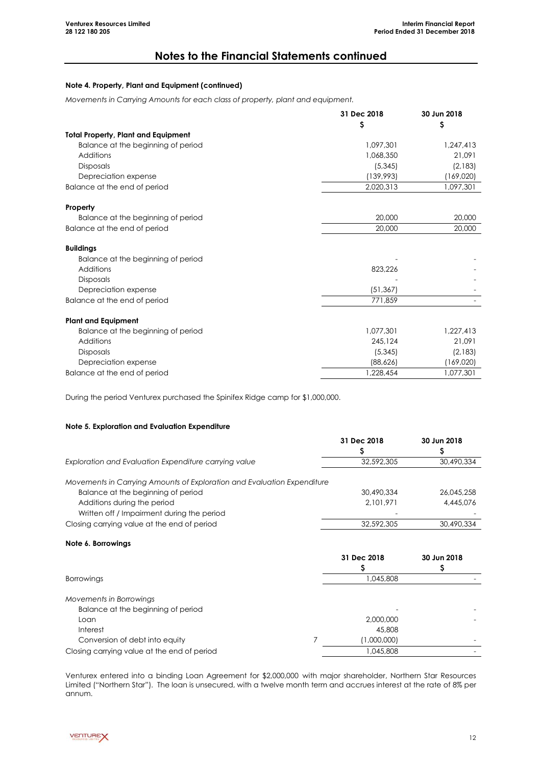### **Note 4. Property, Plant and Equipment (continued)**

*Movements in Carrying Amounts for each class of property, plant and equipment.*

|                                            | 31 Dec 2018 | 30 Jun 2018 |
|--------------------------------------------|-------------|-------------|
|                                            | \$          | \$          |
| <b>Total Property, Plant and Equipment</b> |             |             |
| Balance at the beginning of period         | 1,097,301   | 1,247,413   |
| Additions                                  | 1,068,350   | 21,091      |
| <b>Disposals</b>                           | (5,345)     | (2,183)     |
| Depreciation expense                       | (139,993)   | (169,020)   |
| Balance at the end of period               | 2,020,313   | 1,097,301   |
| Property                                   |             |             |
| Balance at the beginning of period         | 20,000      | 20,000      |
| Balance at the end of period               | 20,000      | 20,000      |
| <b>Buildings</b>                           |             |             |
| Balance at the beginning of period         |             |             |
| Additions                                  | 823,226     |             |
| <b>Disposals</b>                           |             |             |
| Depreciation expense                       | (51, 367)   |             |
| Balance at the end of period               | 771,859     |             |
| <b>Plant and Equipment</b>                 |             |             |
| Balance at the beginning of period         | 1,077,301   | 1,227,413   |
| Additions                                  | 245,124     | 21,091      |
| <b>Disposals</b>                           | (5,345)     | (2,183)     |
| Depreciation expense                       | (88,626)    | (169,020)   |
| Balance at the end of period               | 1,228,454   | 1,077,301   |

During the period Venturex purchased the Spinifex Ridge camp for \$1,000,000.

#### **Note 5. Exploration and Evaluation Expenditure**

|                                                                         | 31 Dec 2018 | 30 Jun 2018 |
|-------------------------------------------------------------------------|-------------|-------------|
|                                                                         |             |             |
| Exploration and Evaluation Expenditure carrying value                   | 32,592,305  | 30,490,334  |
| Movements in Carrying Amounts of Exploration and Evaluation Expenditure |             |             |
| Balance at the beginning of period                                      | 30,490,334  | 26.045.258  |
| Additions during the period                                             | 2.101.971   | 4,445,076   |
| Written off / Impairment during the period                              |             |             |
| Closing carrying value at the end of period                             | 32.592.305  | 30,490,334  |

#### **Note 6. Borrowings**

|                                             | 31 Dec 2018 | 30 Jun 2018 |
|---------------------------------------------|-------------|-------------|
|                                             |             |             |
| <b>Borrowings</b>                           | 1,045,808   |             |
| Movements in Borrowings                     |             |             |
| Balance at the beginning of period          |             |             |
| Loan                                        | 2,000,000   |             |
| Interest                                    | 45,808      |             |
| Conversion of debt into equity              | (1,000,000) |             |
| Closing carrying value at the end of period | 1,045,808   |             |
|                                             |             |             |

Venturex entered into a binding Loan Agreement for \$2,000,000 with major shareholder, Northern Star Resources Limited ("Northern Star"). The loan is unsecured, with a twelve month term and accrues interest at the rate of 8% per annum.

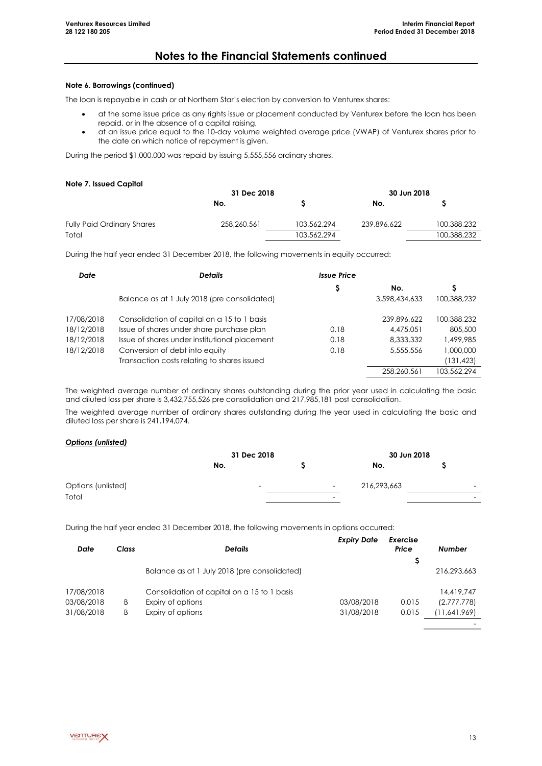#### **Note 6. Borrowings (continued)**

The loan is repayable in cash or at Northern Star's election by conversion to Venturex shares:

- at the same issue price as any rights issue or placement conducted by Venturex before the loan has been repaid, or in the absence of a capital raising,
- at an issue price equal to the 10-day volume weighted average price (VWAP) of Venturex shares prior to the date on which notice of repayment is given.

During the period \$1,000,000 was repaid by issuing 5,555,556 ordinary shares.

#### **Note 7. Issued Capital**

|                                   | 31 Dec 2018 |             | 30 Jun 2018 |             |  |
|-----------------------------------|-------------|-------------|-------------|-------------|--|
|                                   | No.         |             | No.         |             |  |
| <b>Fully Paid Ordinary Shares</b> | 258,260,561 | 103,562,294 | 239,896,622 | 100,388,232 |  |
| Total                             |             | 103,562,294 |             | 100.388.232 |  |

During the half year ended 31 December 2018, the following movements in equity occurred:

| Date       | <b>Details</b>                                | <b>Issue Price</b> |               |             |
|------------|-----------------------------------------------|--------------------|---------------|-------------|
|            |                                               | S                  | No.           | S           |
|            | Balance as at 1 July 2018 (pre consolidated)  |                    | 3,598,434,633 | 100.388.232 |
| 17/08/2018 | Consolidation of capital on a 15 to 1 basis   |                    | 239.896.622   | 100.388.232 |
| 18/12/2018 | Issue of shares under share purchase plan     | 0.18               | 4,475,051     | 805,500     |
| 18/12/2018 | Issue of shares under institutional placement | 0.18               | 8,333,332     | 1,499,985   |
| 18/12/2018 | Conversion of debt into equity                | 0.18               | 5,555,556     | 000,000,1   |
|            | Transaction costs relating to shares issued   |                    |               | 131,423     |
|            |                                               |                    | 258.260.561   | 103,562,294 |

The weighted average number of ordinary shares outstanding during the prior year used in calculating the basic and diluted loss per share is 3,432,755,526 pre consolidation and 217,985,181 post consolidation.

The weighted average number of ordinary shares outstanding during the year used in calculating the basic and diluted loss per share is 241,194,074.

### *Options (unlisted)*

|                    | 31 Dec 2018 |                          |                          | 30 Jun 2018 |  |                          |
|--------------------|-------------|--------------------------|--------------------------|-------------|--|--------------------------|
|                    | No.         |                          |                          | No.         |  |                          |
| Options (unlisted) |             | $\overline{\phantom{0}}$ | $\overline{\phantom{a}}$ | 216,293,663 |  | $\overline{\phantom{0}}$ |
| Total              |             |                          | $\overline{\phantom{0}}$ |             |  | $\overline{\phantom{a}}$ |

During the half year ended 31 December 2018, the following movements in options occurred:

| Date       | Class | <b>Details</b>                               | <b>Expiry Date</b> | Exercise<br>Price | <b>Number</b> |
|------------|-------|----------------------------------------------|--------------------|-------------------|---------------|
|            |       | Balance as at 1 July 2018 (pre consolidated) |                    |                   | 216.293.663   |
| 17/08/2018 |       | Consolidation of capital on a 15 to 1 basis  |                    |                   | 14,419,747    |
| 03/08/2018 | B     | Expiry of options                            | 03/08/2018         | 0.015             | (2,777,778)   |
| 31/08/2018 | B     | Expiry of options                            | 31/08/2018         | 0.015             | (11,641,969)  |
|            |       |                                              |                    |                   |               |

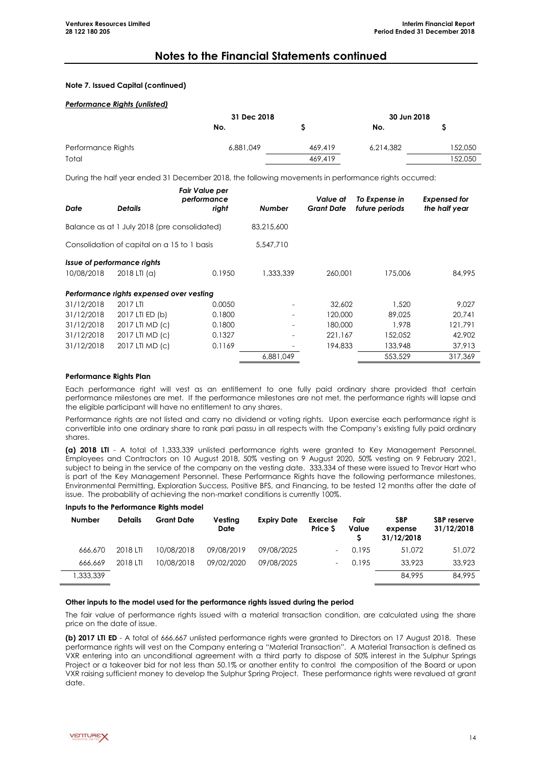#### **Note 7. Issued Capital (continued)**

#### *Performance Rights (unlisted)*

|                    | 31 Dec 2018 | 30 Jun 2018 |           |         |
|--------------------|-------------|-------------|-----------|---------|
|                    | No.         |             | No.       |         |
| Performance Rights | 6,881,049   | 469,419     | 6,214,382 | 152,050 |
| Total              |             | 469,419     |           | 152,050 |

During the half year ended 31 December 2018, the following movements in performance rights occurred:

| <b>Date</b>                               | <b>Details</b>                               | Fair Value per<br>performance<br>right | <b>Number</b>            | Value at<br><b>Grant Date</b> | To Expense in<br>future periods | <b>Expensed for</b><br>the half year |
|-------------------------------------------|----------------------------------------------|----------------------------------------|--------------------------|-------------------------------|---------------------------------|--------------------------------------|
|                                           | Balance as at 1 July 2018 (pre consolidated) |                                        | 83,215,600               |                               |                                 |                                      |
|                                           | Consolidation of capital on a 15 to 1 basis  |                                        | 5,547,710                |                               |                                 |                                      |
| Issue of performance rights<br>10/08/2018 | $2018$ LTI (a)                               | 0.1950                                 | 1,333,339                | 260,001                       | 175,006                         | 84,995                               |
|                                           | Performance rights expensed over vesting     |                                        |                          |                               |                                 |                                      |
| 31/12/2018                                | 2017 LTI                                     | 0.0050                                 |                          | 32,602                        | 1.520                           | 9.027                                |
| 31/12/2018                                | 2017 LTI ED (b)                              | 0.1800                                 | $\overline{\phantom{0}}$ | 120,000                       | 89,025                          | 20.741                               |
| 31/12/2018                                | 2017 LTI MD (c)                              | 0.1800                                 | $\overline{\phantom{a}}$ | 180,000                       | 1.978                           | 121.791                              |
| 31/12/2018                                | 2017 LTI MD (c)                              | 0.1327                                 |                          | 221.167                       | 152,052                         | 42,902                               |
| 31/12/2018                                | 2017 LTI MD (c)                              | 0.1169                                 |                          | 194,833                       | 133,948                         | 37,913                               |
|                                           |                                              |                                        | 6.881.049                |                               | 553,529                         | 317.369                              |

#### **Performance Rights Plan**

Each performance right will vest as an entitlement to one fully paid ordinary share provided that certain performance milestones are met. If the performance milestones are not met, the performance rights will lapse and the eligible participant will have no entitlement to any shares.

Performance rights are not listed and carry no dividend or voting rights. Upon exercise each performance right is convertible into one ordinary share to rank pari passu in all respects with the Company's existing fully paid ordinary shares.

**(a) 2018 LTI** - A total of 1,333,339 unlisted performance rights were granted to Key Management Personnel, Employees and Contractors on 10 August 2018, 50% vesting on 9 August 2020, 50% vesting on 9 February 2021, subject to being in the service of the company on the vesting date. 333,334 of these were issued to Trevor Hart who is part of the Key Management Personnel. These Performance Rights have the following performance milestones, Environmental Permitting, Exploration Success, Positive BFS, and Financing, to be tested 12 months after the date of issue. The probability of achieving the non-market conditions is currently 100%.

#### **Inputs to the Performance Rights model**

| <b>Number</b> | <b>Details</b> | <b>Grant Date</b> | Vesting<br><b>Date</b> | <b>Expiry Date</b> | <b>Exercise</b><br>Price S | Fair<br>Value | <b>SBP</b><br>expense<br>31/12/2018 | SBP reserve<br>31/12/2018 |
|---------------|----------------|-------------------|------------------------|--------------------|----------------------------|---------------|-------------------------------------|---------------------------|
| 666,670       | 2018 LTI       | 10/08/2018        | 09/08/2019             | 09/08/2025         |                            | 0.195         | 51.072                              | 51,072                    |
| 666.669       | 2018 LTI       | 10/08/2018        | 09/02/2020             | 09/08/2025         |                            | 0.195         | 33.923                              | 33.923                    |
| 1,333,339     |                |                   |                        |                    |                            |               | 84,995                              | 84.995                    |
|               |                |                   |                        |                    |                            |               |                                     |                           |

#### **Other inputs to the model used for the performance rights issued during the period**

The fair value of performance rights issued with a material transaction condition, are calculated using the share price on the date of issue.

**(b) 2017 LTI ED** - A total of 666,667 unlisted performance rights were granted to Directors on 17 August 2018. These performance rights will vest on the Company entering a "Material Transaction". A Material Transaction is defined as VXR entering into an unconditional agreement with a third party to dispose of 50% interest in the Sulphur Springs Project or a takeover bid for not less than 50.1% or another entity to control the composition of the Board or upon VXR raising sufficient money to develop the Sulphur Spring Project. These performance rights were revalued at grant date.

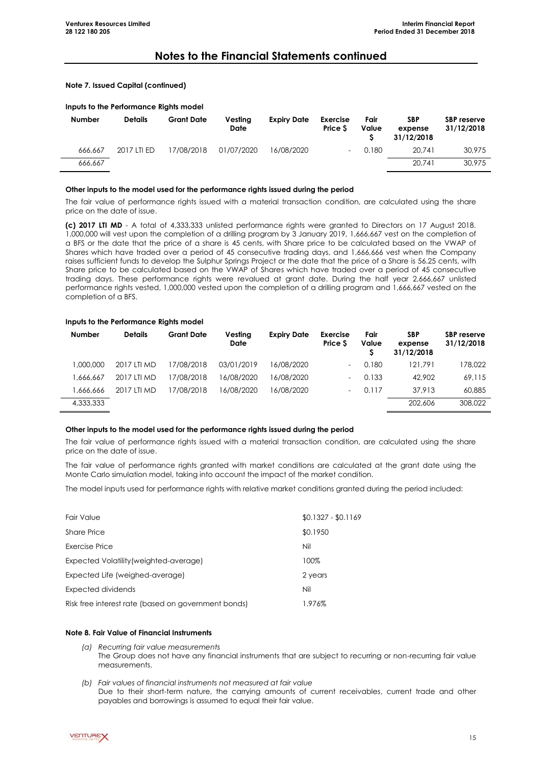#### **Note 7. Issued Capital (continued)**

#### **Inputs to the Performance Rights model**

| Number  | <b>Details</b> | <b>Grant Date</b> | Vesting<br><b>Date</b> | <b>Expiry Date</b> | <b>Exercise</b><br>Price S | Fair<br>Value | SBP<br>expense<br>31/12/2018 | <b>SBP</b> reserve<br>31/12/2018 |
|---------|----------------|-------------------|------------------------|--------------------|----------------------------|---------------|------------------------------|----------------------------------|
| 666.667 | 2017 LTI ED    | 17/08/2018        | 01/07/2020             | 16/08/2020         | -                          | 0.180         | 20.741                       | 30,975                           |
| 666.667 |                |                   |                        |                    |                            |               | 20.741                       | 30.975                           |

#### **Other inputs to the model used for the performance rights issued during the period**

The fair value of performance rights issued with a material transaction condition, are calculated using the share price on the date of issue.

**(c) 2017 LTI MD** - A total of 4,333,333 unlisted performance rights were granted to Directors on 17 August 2018. 1,000,000 will vest upon the completion of a drilling program by 3 January 2019, 1,666,667 vest on the completion of a BFS or the date that the price of a share is 45 cents, with Share price to be calculated based on the VWAP of Shares which have traded over a period of 45 consecutive trading days, and 1,666,666 vest when the Company raises sufficient funds to develop the Sulphur Springs Project or the date that the price of a Share is 56.25 cents, with Share price to be calculated based on the VWAP of Shares which have traded over a period of 45 consecutive trading days. These performance rights were revalued at grant date. During the half year 2,666,667 unlisted performance rights vested, 1,000,000 vested upon the completion of a drilling program and 1,666,667 vested on the completion of a BFS.

#### **Inputs to the Performance Rights model**

| <b>Number</b> | <b>Details</b> | <b>Grant Date</b> | Vesting<br>Date | <b>Expiry Date</b> | <b>Exercise</b><br><b>Price S</b> | Fair<br>Value | <b>SBP</b><br>expense<br>31/12/2018 | SBP reserve<br>31/12/2018 |
|---------------|----------------|-------------------|-----------------|--------------------|-----------------------------------|---------------|-------------------------------------|---------------------------|
| 000.000.1     | 2017 LTI MD    | 17/08/2018        | 03/01/2019      | 16/08/2020         | $\overline{\phantom{a}}$          | 0.180         | 121.791                             | 178,022                   |
| 1,666,667     | 2017 LTI MD    | 17/08/2018        | 16/08/2020      | 16/08/2020         | $\overline{\phantom{0}}$          | 0.133         | 42,902                              | 69,115                    |
| 1,666,666     | 2017 LTI MD    | 17/08/2018        | 16/08/2020      | 16/08/2020         | $\overline{\phantom{a}}$          | 0.117         | 37.913                              | 60,885                    |
| 4,333,333     |                |                   |                 |                    |                                   |               | 202,606                             | 308,022                   |

#### **Other inputs to the model used for the performance rights issued during the period**

The fair value of performance rights issued with a material transaction condition, are calculated using the share price on the date of issue.

The fair value of performance rights granted with market conditions are calculated at the grant date using the Monte Carlo simulation model, taking into account the impact of the market condition.

The model inputs used for performance rights with relative market conditions granted during the period included:

| <b>Fair Value</b>                                   | $$0.1327 - $0.1169$ |
|-----------------------------------------------------|---------------------|
| Share Price                                         | \$0.1950            |
| Exercise Price                                      | Nil                 |
| Expected Volatility (weighted-average)              | 100%                |
| Expected Life (weighed-average)                     | 2 years             |
| Expected dividends                                  | Nil                 |
| Risk free interest rate (based on government bonds) | 1.976%              |

### **Note 8. Fair Value of Financial Instruments**

- *(a) Recurring fair value measurements* The Group does not have any financial instruments that are subject to recurring or non-recurring fair value measurements.
- *(b) Fair values of financial instruments not measured at fair value* Due to their short-term nature, the carrying amounts of current receivables, current trade and other payables and borrowings is assumed to equal their fair value.

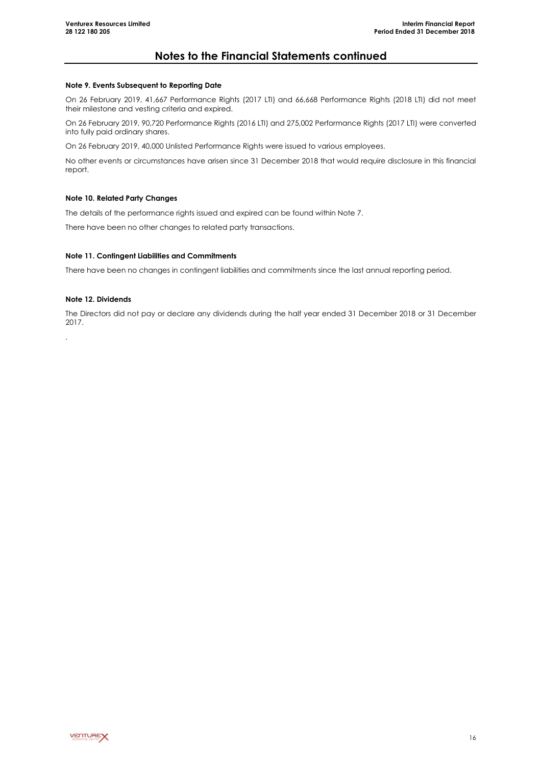#### **Note 9. Events Subsequent to Reporting Date**

On 26 February 2019, 41,667 Performance Rights (2017 LTI) and 66,668 Performance Rights (2018 LTI) did not meet their milestone and vesting criteria and expired.

On 26 February 2019, 90,720 Performance Rights (2016 LTI) and 275,002 Performance Rights (2017 LTI) were converted into fully paid ordinary shares.

On 26 February 2019, 40,000 Unlisted Performance Rights were issued to various employees.

No other events or circumstances have arisen since 31 December 2018 that would require disclosure in this financial report.

### **Note 10. Related Party Changes**

The details of the performance rights issued and expired can be found within Note 7.

There have been no other changes to related party transactions.

### **Note 11. Contingent Liabilities and Commitments**

There have been no changes in contingent liabilities and commitments since the last annual reporting period.

### **Note 12. Dividends**

.

The Directors did not pay or declare any dividends during the half year ended 31 December 2018 or 31 December 2017.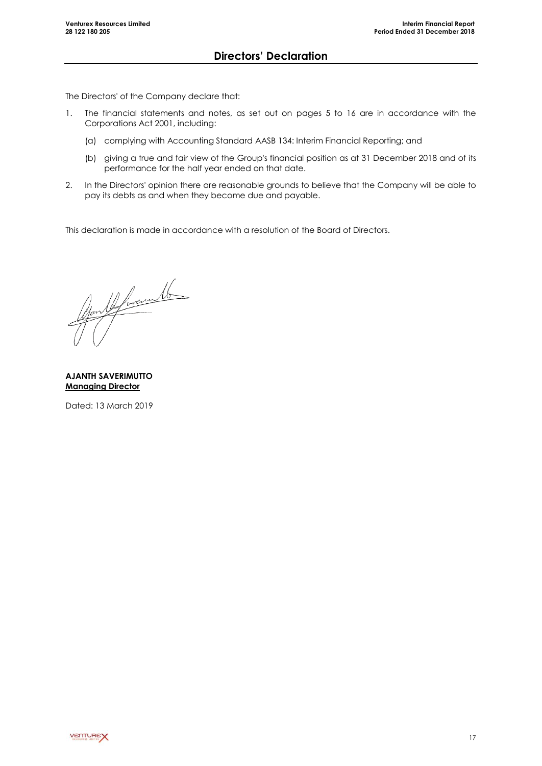<span id="page-18-0"></span>The Directors' of the Company declare that:

- 1. The financial statements and notes, as set out on pages 5 to 16 are in accordance with the Corporations Act 2001, including:
	- (a) complying with Accounting Standard AASB 134: Interim Financial Reporting; and
	- (b) giving a true and fair view of the Group's financial position as at 31 December 2018 and of its performance for the half year ended on that date.
- 2. In the Directors' opinion there are reasonable grounds to believe that the Company will be able to pay its debts as and when they become due and payable.

This declaration is made in accordance with a resolution of the Board of Directors.

you le forcemb

**AJANTH SAVERIMUTTO Managing Director**

Dated: 13 March 2019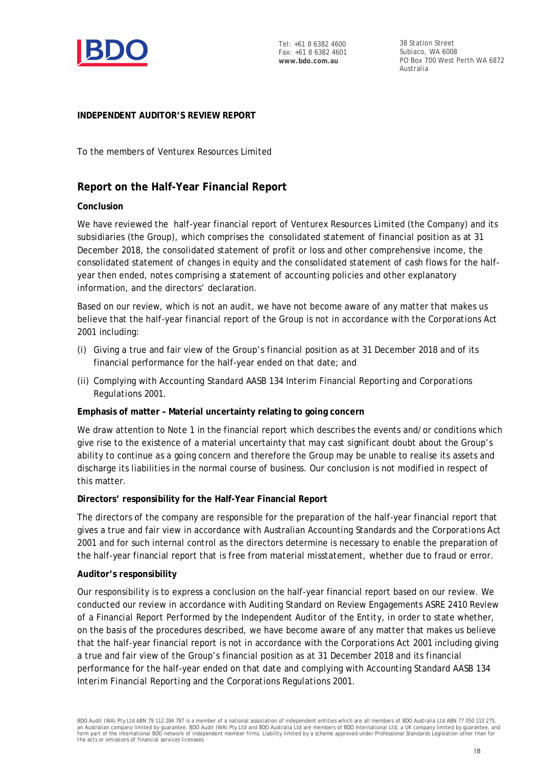

Tel: +61 8 6382 4600 Fax: +61 8 6382 4601 **www.bdo.com.au**

38 Station Street Subiaco, WA 6008 PO Box 700 West Perth WA 6872 Australia

# **INDEPENDENT AUDITOR'S REVIEW REPORT**

To the members of Venturex Resources Limited

# **Report on the Half-Year Financial Report**

# **Conclusion**

We have reviewed the half-year financial report of Venturex Resources Limited (the Company) and its subsidiaries (the Group), which comprises the consolidated statement of financial position as at 31 December 2018, the consolidated statement of profit or loss and other comprehensive income, the consolidated statement of changes in equity and the consolidated statement of cash flows for the halfyear then ended, notes comprising a statement of accounting policies and other explanatory information, and the directors' declaration.

Based on our review, which is not an audit, we have not become aware of any matter that makes us believe that the half-year financial report of the Group is not in accordance with the *Corporations Act 2001* including:

- (i) Giving a true and fair view of the Group's financial position as at 31 December 2018 and of its financial performance for the half-year ended on that date; and
- (ii) Complying with Accounting Standard AASB 134 *Interim Financial Reporting* and *Corporations Regulations 2001.*

# **Emphasis of matter – Material uncertainty relating to going concern**

We draw attention to Note 1 in the financial report which describes the events and/or conditions which give rise to the existence of a material uncertainty that may cast significant doubt about the Group's ability to continue as a going concern and therefore the Group may be unable to realise its assets and discharge its liabilities in the normal course of business. Our conclusion is not modified in respect of this matter.

### **Directors' responsibility for the Half-Year Financial Report**

The directors of the company are responsible for the preparation of the half-year financial report that gives a true and fair view in accordance with Australian Accounting Standards and the *Corporations Act 2001* and for such internal control as the directors determine is necessary to enable the preparation of the half-year financial report that is free from material misstatement, whether due to fraud or error.

### **Auditor's responsibility**

Our responsibility is to express a conclusion on the half-year financial report based on our review. We conducted our review in accordance with Auditing Standard on Review Engagements ASRE 2410 *Review of a Financial Report Performed by the Independent Auditor of the Entity*, in order to state whether, on the basis of the procedures described, we have become aware of any matter that makes us believe that the half-year financial report is not in accordance with the *Corporations Act 2001* including giving a true and fair view of the Group's financial position as at 31 December 2018 and its financial performance for the half-year ended on that date and complying with Accounting Standard AASB 134 *Interim Financial Reporting* and the *Corporations Regulations 2001*.